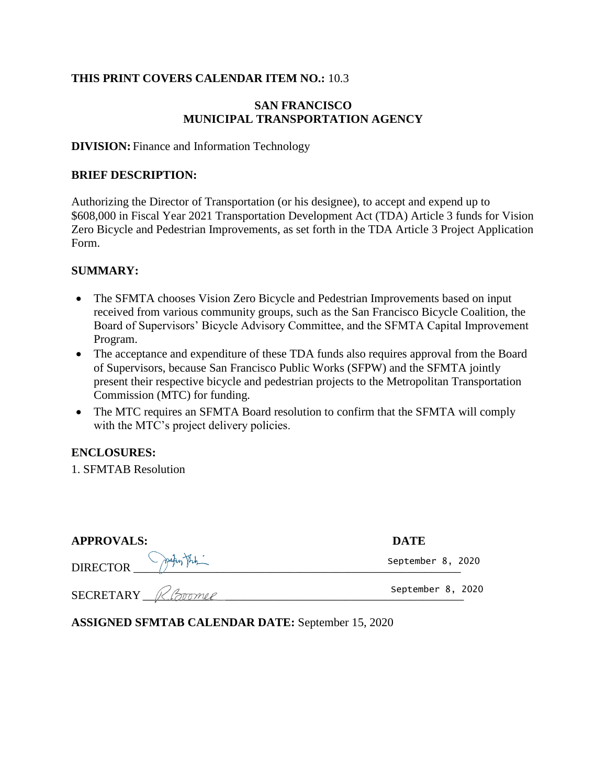## **THIS PRINT COVERS CALENDAR ITEM NO.:** 10.3

#### **SAN FRANCISCO MUNICIPAL TRANSPORTATION AGENCY**

#### **DIVISION:** Finance and Information Technology

#### **BRIEF DESCRIPTION:**

Authorizing the Director of Transportation (or his designee), to accept and expend up to \$608,000 in Fiscal Year 2021 Transportation Development Act (TDA) Article 3 funds for Vision Zero Bicycle and Pedestrian Improvements, as set forth in the TDA Article 3 Project Application Form.

#### **SUMMARY:**

- The SFMTA chooses Vision Zero Bicycle and Pedestrian Improvements based on input received from various community groups, such as the San Francisco Bicycle Coalition, the Board of Supervisors' Bicycle Advisory Committee, and the SFMTA Capital Improvement Program.
- The acceptance and expenditure of these TDA funds also requires approval from the Board of Supervisors, because San Francisco Public Works (SFPW) and the SFMTA jointly present their respective bicycle and pedestrian projects to the Metropolitan Transportation Commission (MTC) for funding.
- The MTC requires an SFMTA Board resolution to confirm that the SFMTA will comply with the MTC's project delivery policies.

#### **ENCLOSURES:**

1. SFMTAB Resolution

| <b>APPROVALS:</b>         | <b>DATE</b>       |
|---------------------------|-------------------|
| DIRECTOR PARTITION        | September 8, 2020 |
| SECRETARY <i>R.Boomer</i> | September 8, 2020 |

**ASSIGNED SFMTAB CALENDAR DATE:** September 15, 2020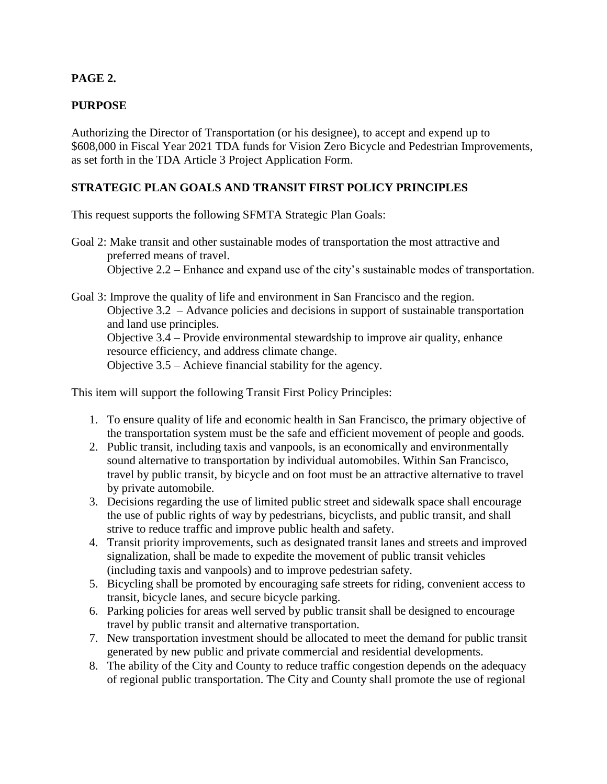# **PAGE 2.**

## **PURPOSE**

Authorizing the Director of Transportation (or his designee), to accept and expend up to \$608,000 in Fiscal Year 2021 TDA funds for Vision Zero Bicycle and Pedestrian Improvements, as set forth in the TDA Article 3 Project Application Form.

## **STRATEGIC PLAN GOALS AND TRANSIT FIRST POLICY PRINCIPLES**

This request supports the following SFMTA Strategic Plan Goals:

Goal 2: Make transit and other sustainable modes of transportation the most attractive and preferred means of travel. Objective 2.2 – Enhance and expand use of the city's sustainable modes of transportation.

Goal 3: Improve the quality of life and environment in San Francisco and the region. Objective 3.2 – Advance policies and decisions in support of sustainable transportation and land use principles. Objective 3.4 – Provide environmental stewardship to improve air quality, enhance resource efficiency, and address climate change. Objective 3.5 – Achieve financial stability for the agency.

This item will support the following Transit First Policy Principles:

- 1. To ensure quality of life and economic health in San Francisco, the primary objective of the transportation system must be the safe and efficient movement of people and goods.
- 2. Public transit, including taxis and vanpools, is an economically and environmentally sound alternative to transportation by individual automobiles. Within San Francisco, travel by public transit, by bicycle and on foot must be an attractive alternative to travel by private automobile.
- 3. Decisions regarding the use of limited public street and sidewalk space shall encourage the use of public rights of way by pedestrians, bicyclists, and public transit, and shall strive to reduce traffic and improve public health and safety.
- 4. Transit priority improvements, such as designated transit lanes and streets and improved signalization, shall be made to expedite the movement of public transit vehicles (including taxis and vanpools) and to improve pedestrian safety.
- 5. Bicycling shall be promoted by encouraging safe streets for riding, convenient access to transit, bicycle lanes, and secure bicycle parking.
- 6. Parking policies for areas well served by public transit shall be designed to encourage travel by public transit and alternative transportation.
- 7. New transportation investment should be allocated to meet the demand for public transit generated by new public and private commercial and residential developments.
- 8. The ability of the City and County to reduce traffic congestion depends on the adequacy of regional public transportation. The City and County shall promote the use of regional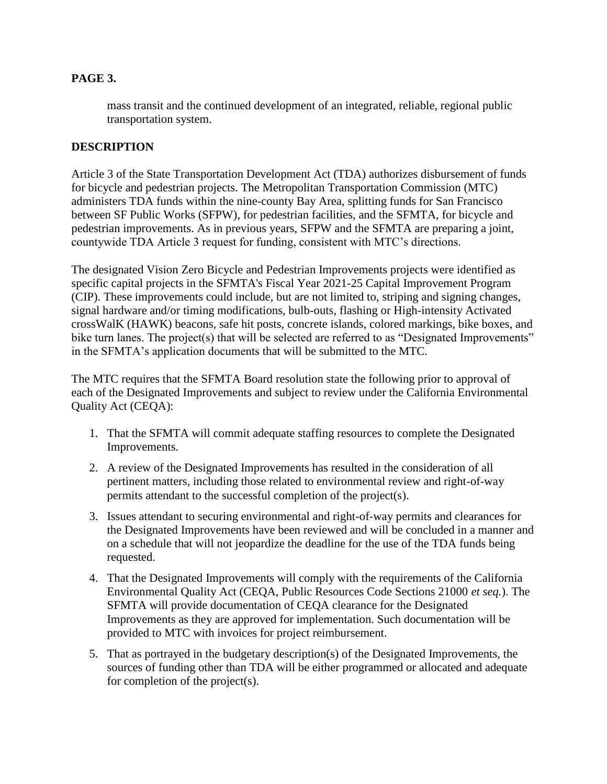## **PAGE 3.**

mass transit and the continued development of an integrated, reliable, regional public transportation system.

## **DESCRIPTION**

Article 3 of the State Transportation Development Act (TDA) authorizes disbursement of funds for bicycle and pedestrian projects. The Metropolitan Transportation Commission (MTC) administers TDA funds within the nine-county Bay Area, splitting funds for San Francisco between SF Public Works (SFPW), for pedestrian facilities, and the SFMTA, for bicycle and pedestrian improvements. As in previous years, SFPW and the SFMTA are preparing a joint, countywide TDA Article 3 request for funding, consistent with MTC's directions.

The designated Vision Zero Bicycle and Pedestrian Improvements projects were identified as specific capital projects in the SFMTA's Fiscal Year 2021-25 Capital Improvement Program (CIP). These improvements could include, but are not limited to, striping and signing changes, signal hardware and/or timing modifications, bulb-outs, flashing or High-intensity Activated crossWalK (HAWK) beacons, safe hit posts, concrete islands, colored markings, bike boxes, and bike turn lanes. The project(s) that will be selected are referred to as "Designated Improvements" in the SFMTA's application documents that will be submitted to the MTC.

The MTC requires that the SFMTA Board resolution state the following prior to approval of each of the Designated Improvements and subject to review under the California Environmental Quality Act (CEQA):

- 1. That the SFMTA will commit adequate staffing resources to complete the Designated Improvements.
- 2. A review of the Designated Improvements has resulted in the consideration of all pertinent matters, including those related to environmental review and right-of-way permits attendant to the successful completion of the project(s).
- 3. Issues attendant to securing environmental and right-of-way permits and clearances for the Designated Improvements have been reviewed and will be concluded in a manner and on a schedule that will not jeopardize the deadline for the use of the TDA funds being requested.
- 4. That the Designated Improvements will comply with the requirements of the California Environmental Quality Act (CEQA, Public Resources Code Sections 21000 *et seq.*). The SFMTA will provide documentation of CEQA clearance for the Designated Improvements as they are approved for implementation. Such documentation will be provided to MTC with invoices for project reimbursement.
- 5. That as portrayed in the budgetary description(s) of the Designated Improvements, the sources of funding other than TDA will be either programmed or allocated and adequate for completion of the project(s).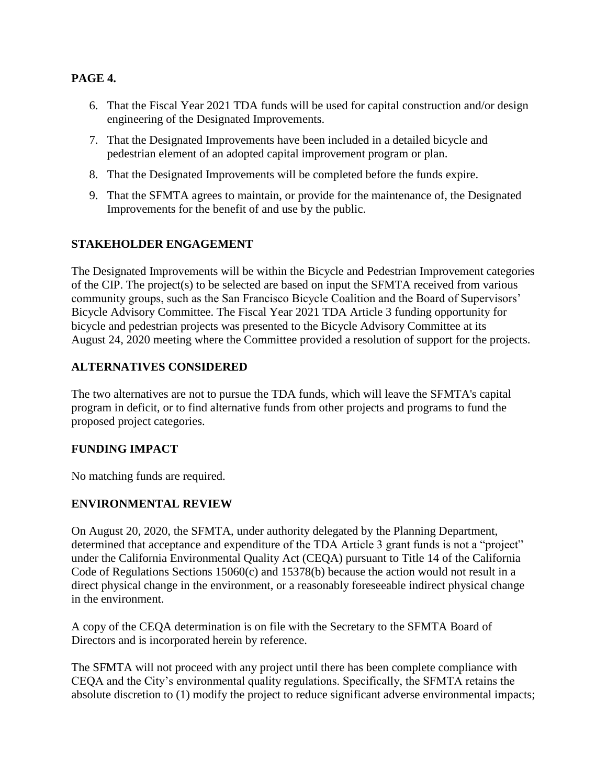## **PAGE 4.**

- 6. That the Fiscal Year 2021 TDA funds will be used for capital construction and/or design engineering of the Designated Improvements.
- 7. That the Designated Improvements have been included in a detailed bicycle and pedestrian element of an adopted capital improvement program or plan.
- 8. That the Designated Improvements will be completed before the funds expire.
- 9. That the SFMTA agrees to maintain, or provide for the maintenance of, the Designated Improvements for the benefit of and use by the public.

# **STAKEHOLDER ENGAGEMENT**

The Designated Improvements will be within the Bicycle and Pedestrian Improvement categories of the CIP. The project(s) to be selected are based on input the SFMTA received from various community groups, such as the San Francisco Bicycle Coalition and the Board of Supervisors' Bicycle Advisory Committee. The Fiscal Year 2021 TDA Article 3 funding opportunity for bicycle and pedestrian projects was presented to the Bicycle Advisory Committee at its August 24, 2020 meeting where the Committee provided a resolution of support for the projects.

## **ALTERNATIVES CONSIDERED**

The two alternatives are not to pursue the TDA funds, which will leave the SFMTA's capital program in deficit, or to find alternative funds from other projects and programs to fund the proposed project categories.

#### **FUNDING IMPACT**

No matching funds are required.

# **ENVIRONMENTAL REVIEW**

On August 20, 2020, the SFMTA, under authority delegated by the Planning Department, determined that acceptance and expenditure of the TDA Article 3 grant funds is not a "project" under the California Environmental Quality Act (CEQA) pursuant to Title 14 of the California Code of Regulations Sections 15060(c) and 15378(b) because the action would not result in a direct physical change in the environment, or a reasonably foreseeable indirect physical change in the environment.

A copy of the CEQA determination is on file with the Secretary to the SFMTA Board of Directors and is incorporated herein by reference.

The SFMTA will not proceed with any project until there has been complete compliance with CEQA and the City's environmental quality regulations. Specifically, the SFMTA retains the absolute discretion to (1) modify the project to reduce significant adverse environmental impacts;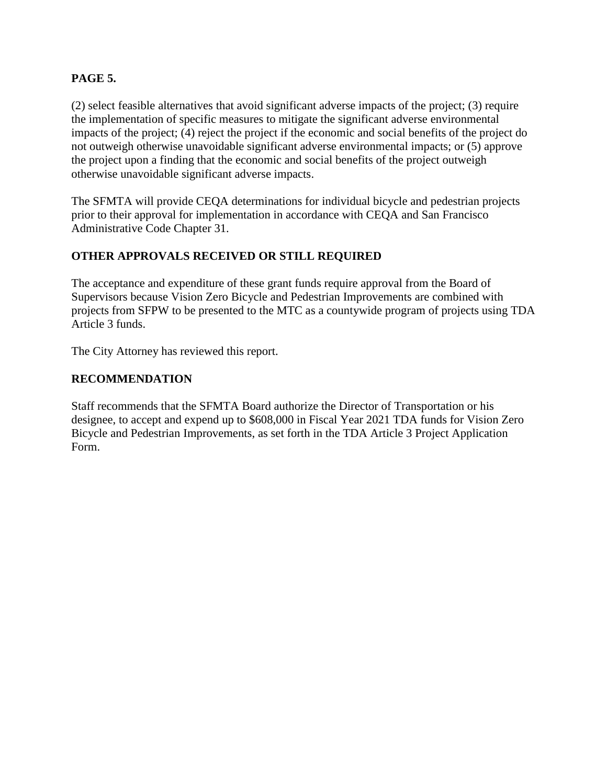## **PAGE 5.**

(2) select feasible alternatives that avoid significant adverse impacts of the project; (3) require the implementation of specific measures to mitigate the significant adverse environmental impacts of the project; (4) reject the project if the economic and social benefits of the project do not outweigh otherwise unavoidable significant adverse environmental impacts; or (5) approve the project upon a finding that the economic and social benefits of the project outweigh otherwise unavoidable significant adverse impacts.

The SFMTA will provide CEQA determinations for individual bicycle and pedestrian projects prior to their approval for implementation in accordance with CEQA and San Francisco Administrative Code Chapter 31.

# **OTHER APPROVALS RECEIVED OR STILL REQUIRED**

The acceptance and expenditure of these grant funds require approval from the Board of Supervisors because Vision Zero Bicycle and Pedestrian Improvements are combined with projects from SFPW to be presented to the MTC as a countywide program of projects using TDA Article 3 funds.

The City Attorney has reviewed this report.

#### **RECOMMENDATION**

Staff recommends that the SFMTA Board authorize the Director of Transportation or his designee, to accept and expend up to \$608,000 in Fiscal Year 2021 TDA funds for Vision Zero Bicycle and Pedestrian Improvements, as set forth in the TDA Article 3 Project Application Form.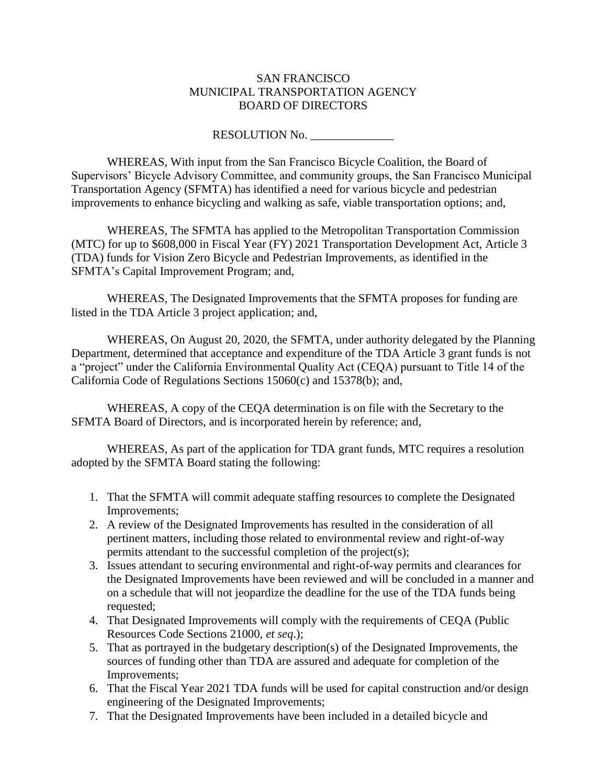#### SAN FRANCISCO MUNICIPAL TRANSPORTATION AGENCY BOARD OF DIRECTORS

RESOLUTION No. \_\_\_\_\_\_\_\_\_\_\_\_\_\_

WHEREAS, With input from the San Francisco Bicycle Coalition, the Board of Supervisors' Bicycle Advisory Committee, and community groups, the San Francisco Municipal Transportation Agency (SFMTA) has identified a need for various bicycle and pedestrian improvements to enhance bicycling and walking as safe, viable transportation options; and,

WHEREAS, The SFMTA has applied to the Metropolitan Transportation Commission (MTC) for up to \$608,000 in Fiscal Year (FY) 2021 Transportation Development Act, Article 3 (TDA) funds for Vision Zero Bicycle and Pedestrian Improvements, as identified in the SFMTA's Capital Improvement Program; and,

WHEREAS, The Designated Improvements that the SFMTA proposes for funding are listed in the TDA Article 3 project application; and,

WHEREAS, On August 20, 2020, the SFMTA, under authority delegated by the Planning Department, determined that acceptance and expenditure of the TDA Article 3 grant funds is not a "project" under the California Environmental Quality Act (CEQA) pursuant to Title 14 of the California Code of Regulations Sections 15060(c) and 15378(b); and,

WHEREAS, A copy of the CEQA determination is on file with the Secretary to the SFMTA Board of Directors, and is incorporated herein by reference; and,

WHEREAS, As part of the application for TDA grant funds, MTC requires a resolution adopted by the SFMTA Board stating the following:

- 1. That the SFMTA will commit adequate staffing resources to complete the Designated Improvements;
- 2. A review of the Designated Improvements has resulted in the consideration of all pertinent matters, including those related to environmental review and right-of-way permits attendant to the successful completion of the project(s);
- 3. Issues attendant to securing environmental and right-of-way permits and clearances for the Designated Improvements have been reviewed and will be concluded in a manner and on a schedule that will not jeopardize the deadline for the use of the TDA funds being requested;
- 4. That Designated Improvements will comply with the requirements of CEQA (Public Resources Code Sections 21000, *et seq*.);
- 5. That as portrayed in the budgetary description(s) of the Designated Improvements, the sources of funding other than TDA are assured and adequate for completion of the Improvements;
- 6. That the Fiscal Year 2021 TDA funds will be used for capital construction and/or design engineering of the Designated Improvements;
- 7. That the Designated Improvements have been included in a detailed bicycle and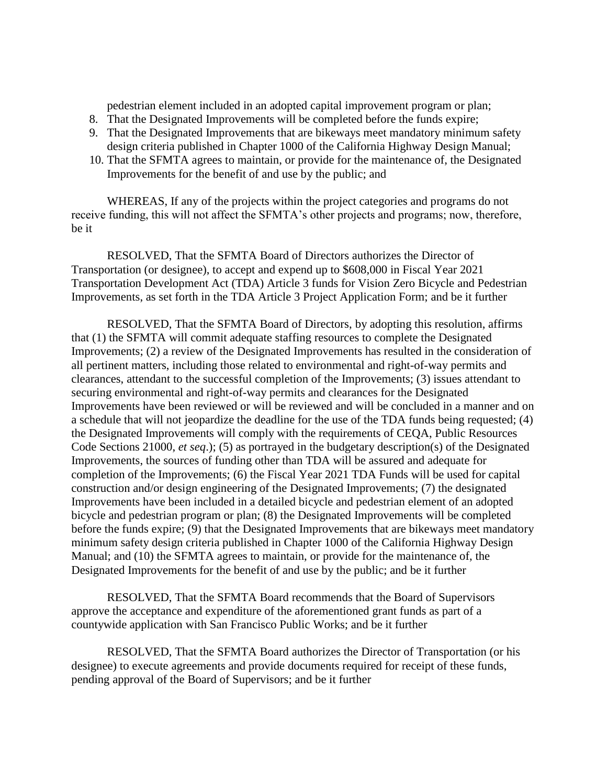pedestrian element included in an adopted capital improvement program or plan;

- 8. That the Designated Improvements will be completed before the funds expire;
- 9. That the Designated Improvements that are bikeways meet mandatory minimum safety design criteria published in Chapter 1000 of the California Highway Design Manual;
- 10. That the SFMTA agrees to maintain, or provide for the maintenance of, the Designated Improvements for the benefit of and use by the public; and

WHEREAS, If any of the projects within the project categories and programs do not receive funding, this will not affect the SFMTA's other projects and programs; now, therefore, be it

RESOLVED, That the SFMTA Board of Directors authorizes the Director of Transportation (or designee), to accept and expend up to \$608,000 in Fiscal Year 2021 Transportation Development Act (TDA) Article 3 funds for Vision Zero Bicycle and Pedestrian Improvements, as set forth in the TDA Article 3 Project Application Form; and be it further

RESOLVED, That the SFMTA Board of Directors, by adopting this resolution, affirms that (1) the SFMTA will commit adequate staffing resources to complete the Designated Improvements; (2) a review of the Designated Improvements has resulted in the consideration of all pertinent matters, including those related to environmental and right-of-way permits and clearances, attendant to the successful completion of the Improvements; (3) issues attendant to securing environmental and right-of-way permits and clearances for the Designated Improvements have been reviewed or will be reviewed and will be concluded in a manner and on a schedule that will not jeopardize the deadline for the use of the TDA funds being requested; (4) the Designated Improvements will comply with the requirements of CEQA, Public Resources Code Sections 21000, *et seq*.); (5) as portrayed in the budgetary description(s) of the Designated Improvements, the sources of funding other than TDA will be assured and adequate for completion of the Improvements; (6) the Fiscal Year 2021 TDA Funds will be used for capital construction and/or design engineering of the Designated Improvements; (7) the designated Improvements have been included in a detailed bicycle and pedestrian element of an adopted bicycle and pedestrian program or plan; (8) the Designated Improvements will be completed before the funds expire; (9) that the Designated Improvements that are bikeways meet mandatory minimum safety design criteria published in Chapter 1000 of the California Highway Design Manual; and (10) the SFMTA agrees to maintain, or provide for the maintenance of, the Designated Improvements for the benefit of and use by the public; and be it further

RESOLVED, That the SFMTA Board recommends that the Board of Supervisors approve the acceptance and expenditure of the aforementioned grant funds as part of a countywide application with San Francisco Public Works; and be it further

RESOLVED, That the SFMTA Board authorizes the Director of Transportation (or his designee) to execute agreements and provide documents required for receipt of these funds, pending approval of the Board of Supervisors; and be it further